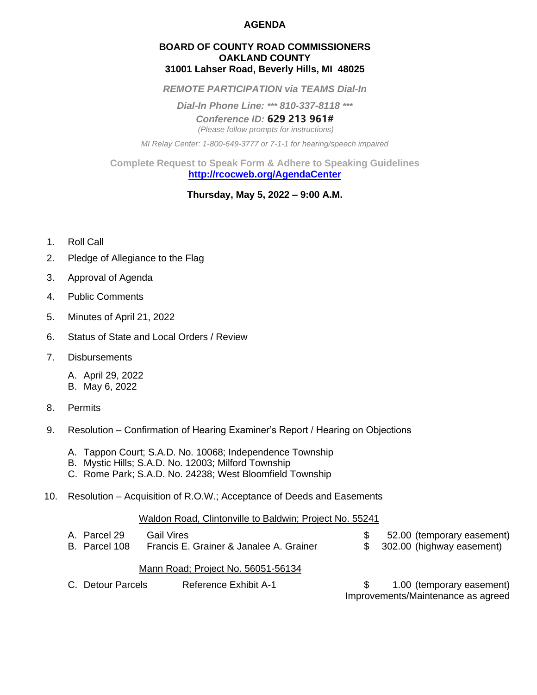## **AGENDA**

### **BOARD OF COUNTY ROAD COMMISSIONERS OAKLAND COUNTY 31001 Lahser Road, Beverly Hills, MI 48025**

*REMOTE PARTICIPATION via TEAMS Dial-In*

*Dial-In Phone Line: \*\*\* 810-337-8118 \*\*\**

*Conference ID:* **629 213 961#**

*(Please follow prompts for instructions)*

*MI Relay Center: 1-800-649-3777 or 7-1-1 for hearing/speech impaired*

**Complete Request to Speak Form & Adhere to Speaking Guidelines <http://rcocweb.org/AgendaCenter>**

# **Thursday, May 5, 2022 – 9:00 A.M.**

- 1. Roll Call
- 2. Pledge of Allegiance to the Flag
- 3. Approval of Agenda
- 4. Public Comments
- 5. Minutes of April 21, 2022
- 6. Status of State and Local Orders / Review
- 7. Disbursements
	- A. April 29, 2022
	- B. May 6, 2022
- 8. Permits
- 9. Resolution Confirmation of Hearing Examiner's Report / Hearing on Objections
	- A. Tappon Court; S.A.D. No. 10068; Independence Township
	- B. Mystic Hills; S.A.D. No. 12003; Milford Township
	- C. Rome Park; S.A.D. No. 24238; West Bloomfield Township
- 10. Resolution Acquisition of R.O.W.; Acceptance of Deeds and Easements

### Waldon Road, Clintonville to Baldwin; Project No. 55241

| A. Parcel 29                       | <b>Gail Vires</b>                       |  | 52.00 (temporary easement)   |
|------------------------------------|-----------------------------------------|--|------------------------------|
| B. Parcel 108                      | Francis E. Grainer & Janalee A. Grainer |  | \$ 302.00 (highway easement) |
| Mann Poad: Project No. 56051-56134 |                                         |  |                              |

### Mann Road; Project No. 56051-56134

C. Detour Parcels Reference Exhibit A-1 \$ 1.00 (temporary easement) Improvements/Maintenance as agreed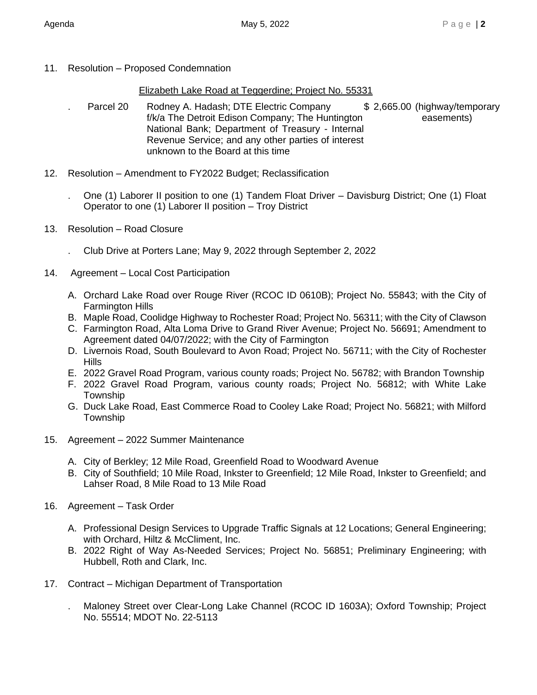11. Resolution – Proposed Condemnation

# Elizabeth Lake Road at Teggerdine; Project No. 55331

- Parcel 20 Rodney A. Hadash; DTE Electric Company \$ 2,665.00 (highway/temporary f/k/a The Detroit Edison Company; The Huntington easements) National Bank; Department of Treasury - Internal Revenue Service; and any other parties of interest unknown to the Board at this time
- 12. Resolution Amendment to FY2022 Budget; Reclassification
	- . One (1) Laborer II position to one (1) Tandem Float Driver Davisburg District; One (1) Float Operator to one (1) Laborer II position – Troy District
- 13. Resolution Road Closure
	- . Club Drive at Porters Lane; May 9, 2022 through September 2, 2022
- 14. Agreement Local Cost Participation
	- A. Orchard Lake Road over Rouge River (RCOC ID 0610B); Project No. 55843; with the City of Farmington Hills
	- B. Maple Road, Coolidge Highway to Rochester Road; Project No. 56311; with the City of Clawson
	- C. Farmington Road, Alta Loma Drive to Grand River Avenue; Project No. 56691; Amendment to Agreement dated 04/07/2022; with the City of Farmington
	- D. Livernois Road, South Boulevard to Avon Road; Project No. 56711; with the City of Rochester **Hills**
	- E. 2022 Gravel Road Program, various county roads; Project No. 56782; with Brandon Township
	- F. 2022 Gravel Road Program, various county roads; Project No. 56812; with White Lake **Township**
	- G. Duck Lake Road, East Commerce Road to Cooley Lake Road; Project No. 56821; with Milford **Township**
- 15. Agreement 2022 Summer Maintenance
	- A. City of Berkley; 12 Mile Road, Greenfield Road to Woodward Avenue
	- B. City of Southfield; 10 Mile Road, Inkster to Greenfield; 12 Mile Road, Inkster to Greenfield; and Lahser Road, 8 Mile Road to 13 Mile Road
- 16. Agreement Task Order
	- A. Professional Design Services to Upgrade Traffic Signals at 12 Locations; General Engineering; with Orchard, Hiltz & McCliment, Inc.
	- B. 2022 Right of Way As-Needed Services; Project No. 56851; Preliminary Engineering; with Hubbell, Roth and Clark, Inc.
- 17. Contract Michigan Department of Transportation

. Maloney Street over Clear-Long Lake Channel (RCOC ID 1603A); Oxford Township; Project No. 55514; MDOT No. 22-5113